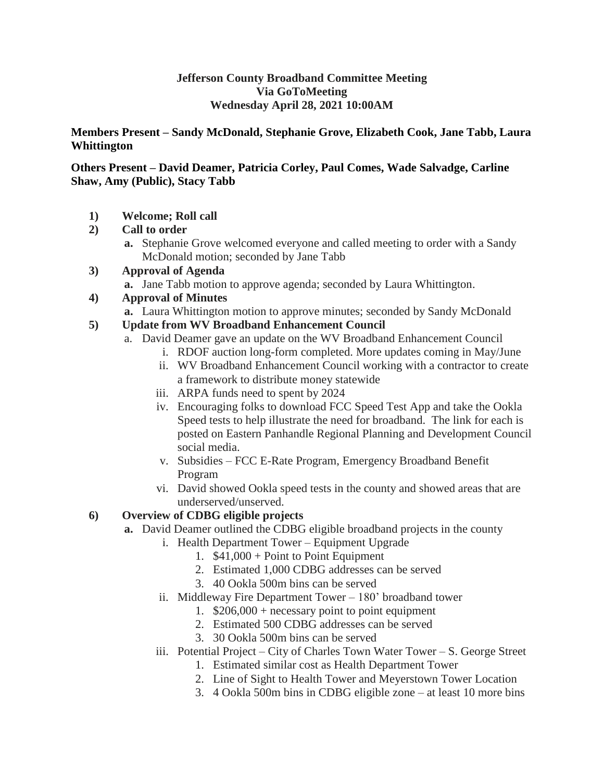#### **Jefferson County Broadband Committee Meeting Via GoToMeeting Wednesday April 28, 2021 10:00AM**

#### **Members Present – Sandy McDonald, Stephanie Grove, Elizabeth Cook, Jane Tabb, Laura Whittington**

#### **Others Present – David Deamer, Patricia Corley, Paul Comes, Wade Salvadge, Carline Shaw, Amy (Public), Stacy Tabb**

**1) Welcome; Roll call**

# **2) Call to order**

- **a.** Stephanie Grove welcomed everyone and called meeting to order with a Sandy McDonald motion; seconded by Jane Tabb
- **3) Approval of Agenda**
	- **a.** Jane Tabb motion to approve agenda; seconded by Laura Whittington.

# **4) Approval of Minutes**

**a.** Laura Whittington motion to approve minutes; seconded by Sandy McDonald

## **5) Update from WV Broadband Enhancement Council**

- a. David Deamer gave an update on the WV Broadband Enhancement Council
	- i. RDOF auction long-form completed. More updates coming in May/June
	- ii. WV Broadband Enhancement Council working with a contractor to create a framework to distribute money statewide
	- iii. ARPA funds need to spent by 2024
	- iv. Encouraging folks to download FCC Speed Test App and take the Ookla Speed tests to help illustrate the need for broadband. The link for each is posted on Eastern Panhandle Regional Planning and Development Council social media.
	- v. Subsidies FCC E-Rate Program, Emergency Broadband Benefit Program
	- vi. David showed Ookla speed tests in the county and showed areas that are underserved/unserved.

# **6) Overview of CDBG eligible projects**

- **a.** David Deamer outlined the CDBG eligible broadband projects in the county
	- i. Health Department Tower Equipment Upgrade
		- 1. \$41,000 + Point to Point Equipment
		- 2. Estimated 1,000 CDBG addresses can be served
		- 3. 40 Ookla 500m bins can be served
	- ii. Middleway Fire Department Tower 180' broadband tower
		- 1.  $$206,000 + necessary point to point equipment$
		- 2. Estimated 500 CDBG addresses can be served
		- 3. 30 Ookla 500m bins can be served
	- iii. Potential Project City of Charles Town Water Tower S. George Street
		- 1. Estimated similar cost as Health Department Tower
		- 2. Line of Sight to Health Tower and Meyerstown Tower Location
		- 3. 4 Ookla 500m bins in CDBG eligible zone at least 10 more bins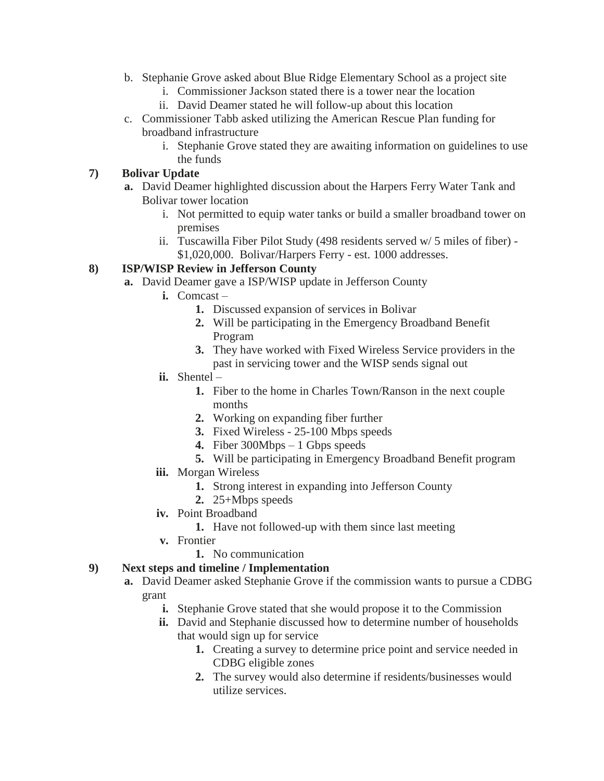- b. Stephanie Grove asked about Blue Ridge Elementary School as a project site
	- i. Commissioner Jackson stated there is a tower near the location
	- ii. David Deamer stated he will follow-up about this location
- c. Commissioner Tabb asked utilizing the American Rescue Plan funding for broadband infrastructure
	- i. Stephanie Grove stated they are awaiting information on guidelines to use the funds

# **7) Bolivar Update**

- **a.** David Deamer highlighted discussion about the Harpers Ferry Water Tank and Bolivar tower location
	- i. Not permitted to equip water tanks or build a smaller broadband tower on premises
	- ii. Tuscawilla Fiber Pilot Study (498 residents served w/ 5 miles of fiber) \$1,020,000. Bolivar/Harpers Ferry - est. 1000 addresses.

## **8) ISP/WISP Review in Jefferson County**

- **a.** David Deamer gave a ISP/WISP update in Jefferson County
	- **i.** Comcast
		- **1.** Discussed expansion of services in Bolivar
		- **2.** Will be participating in the Emergency Broadband Benefit Program
		- **3.** They have worked with Fixed Wireless Service providers in the past in servicing tower and the WISP sends signal out
	- **ii.** Shentel
		- **1.** Fiber to the home in Charles Town/Ranson in the next couple months
		- **2.** Working on expanding fiber further
		- **3.** Fixed Wireless 25-100 Mbps speeds
		- **4.** Fiber 300Mbps 1 Gbps speeds
		- **5.** Will be participating in Emergency Broadband Benefit program
	- **iii.** Morgan Wireless
		- **1.** Strong interest in expanding into Jefferson County
		- **2.** 25+Mbps speeds
	- **iv.** Point Broadband
		- **1.** Have not followed-up with them since last meeting
		- **v.** Frontier
	- **1.** No communication

#### **9) Next steps and timeline / Implementation**

- **a.** David Deamer asked Stephanie Grove if the commission wants to pursue a CDBG grant
	- **i.** Stephanie Grove stated that she would propose it to the Commission
	- **ii.** David and Stephanie discussed how to determine number of households that would sign up for service
		- **1.** Creating a survey to determine price point and service needed in CDBG eligible zones
		- **2.** The survey would also determine if residents/businesses would utilize services.